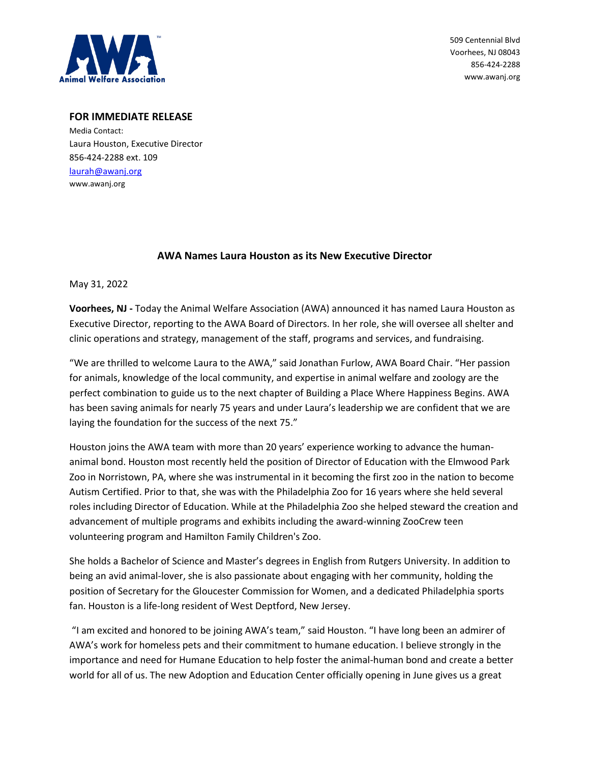

509 Centennial Blvd Voorhees, NJ 08043 856-424-2288 www.awanj.org

## **FOR IMMEDIATE RELEASE**

Media Contact: Laura Houston, Executive Director 856-424-2288 ext. 109 [laurah@awanj.org](mailto:laurah@awanj.org) www.awanj.org

## **AWA Names Laura Houston as its New Executive Director**

May 31, 2022

**Voorhees, NJ -** Today the Animal Welfare Association (AWA) announced it has named Laura Houston as Executive Director, reporting to the AWA Board of Directors. In her role, she will oversee all shelter and clinic operations and strategy, management of the staff, programs and services, and fundraising.

"We are thrilled to welcome Laura to the AWA," said Jonathan Furlow, AWA Board Chair. "Her passion for animals, knowledge of the local community, and expertise in animal welfare and zoology are the perfect combination to guide us to the next chapter of Building a Place Where Happiness Begins. AWA has been saving animals for nearly 75 years and under Laura's leadership we are confident that we are laying the foundation for the success of the next 75."

Houston joins the AWA team with more than 20 years' experience working to advance the humananimal bond. Houston most recently held the position of Director of Education with the Elmwood Park Zoo in Norristown, PA, where she was instrumental in it becoming the first zoo in the nation to become Autism Certified. Prior to that, she was with the Philadelphia Zoo for 16 years where she held several roles including Director of Education. While at the Philadelphia Zoo she helped steward the creation and advancement of multiple programs and exhibits including the award-winning ZooCrew teen volunteering program and Hamilton Family Children's Zoo.

She holds a Bachelor of Science and Master's degrees in English from Rutgers University. In addition to being an avid animal-lover, she is also passionate about engaging with her community, holding the position of Secretary for the Gloucester Commission for Women, and a dedicated Philadelphia sports fan. Houston is a life-long resident of West Deptford, New Jersey.

"I am excited and honored to be joining AWA's team," said Houston. "I have long been an admirer of AWA's work for homeless pets and their commitment to humane education. I believe strongly in the importance and need for Humane Education to help foster the animal-human bond and create a better world for all of us. The new Adoption and Education Center officially opening in June gives us a great